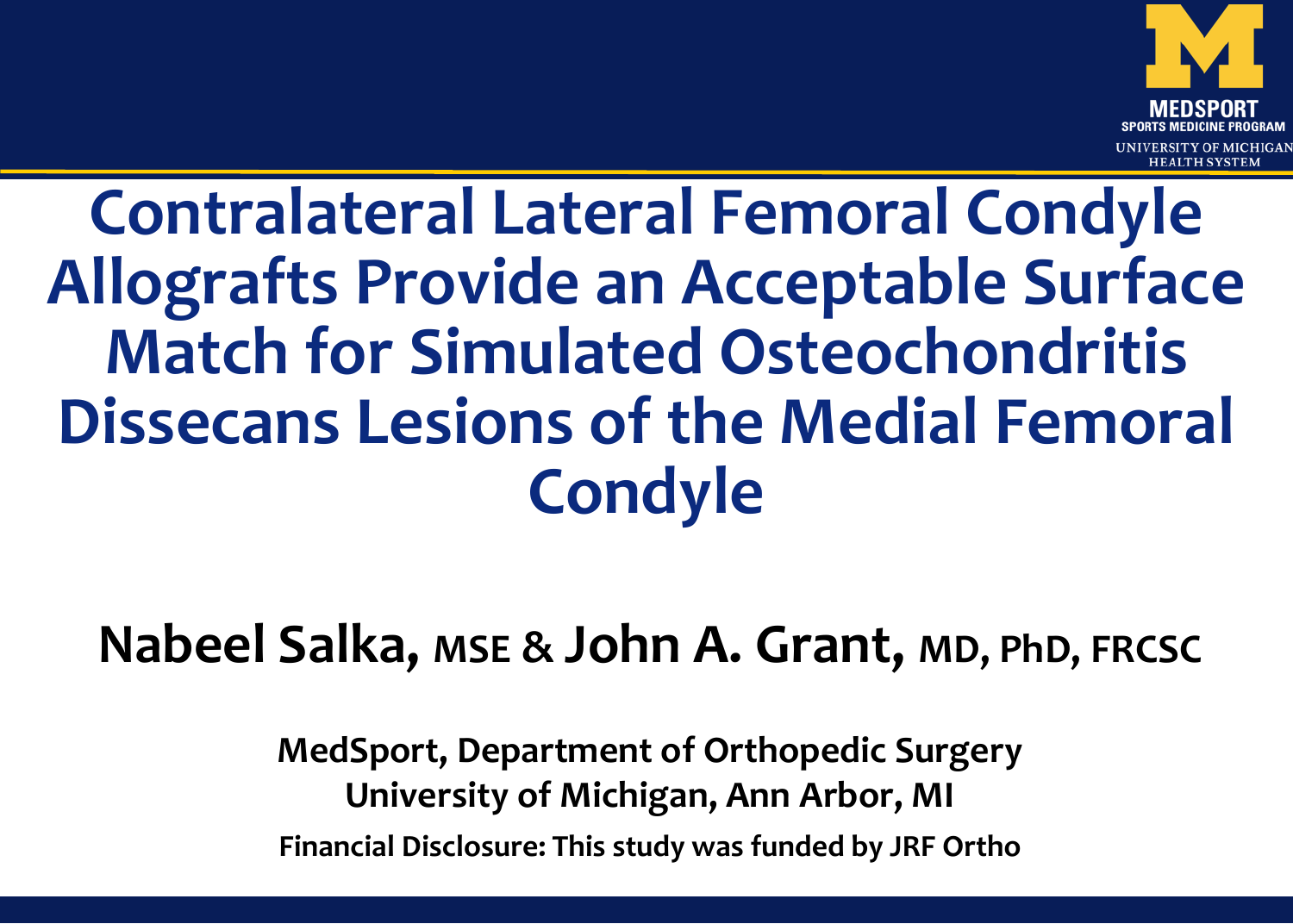

### **Contralateral Lateral Femoral Condyle Allografts Provide an Acceptable Surface Match for Simulated Osteochondritis Dissecans Lesions of the Medial Femoral Condyle**

### **Nabeel Salka, MSE & John A. Grant, MD, PhD, FRCSC**

**MedSport, Department of Orthopedic Surgery University of Michigan, Ann Arbor, MI Financial Disclosure: This study was funded by JRF Ortho**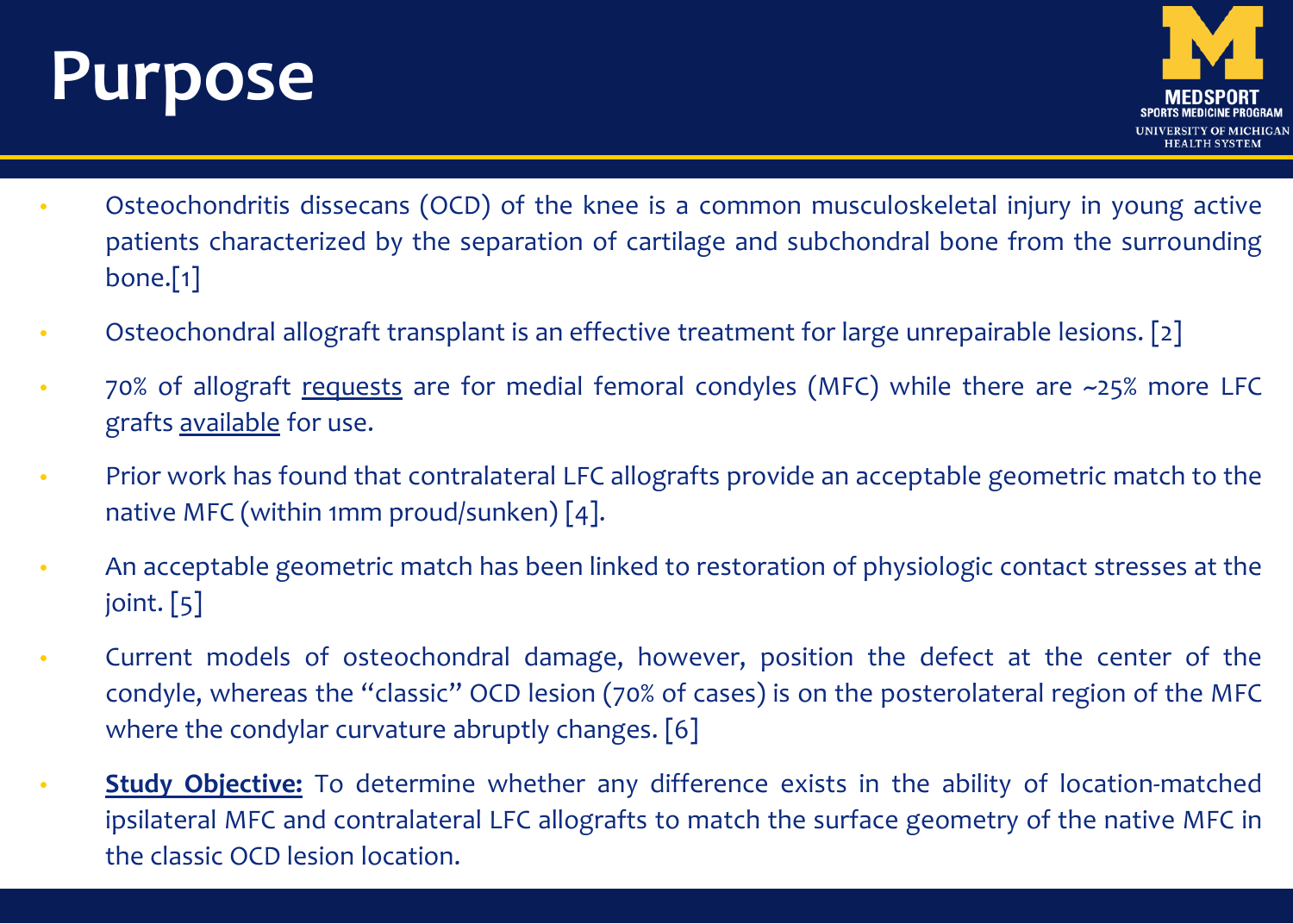## **Purpose**



- Osteochondritis dissecans (OCD) of the knee is a common musculoskeletal injury in young active patients characterized by the separation of cartilage and subchondral bone from the surrounding bone.[1]
- Osteochondral allograft transplant is an effective treatment for large unrepairable lesions. [2]
- 70% of allograft requests are for medial femoral condyles (MFC) while there are ~25% more LFC grafts available for use.
- Prior work has found that contralateral LFC allografts provide an acceptable geometric match to the native MFC (within 1mm proud/sunken) [4].
- An acceptable geometric match has been linked to restoration of physiologic contact stresses at the joint. [5]
- Current models of osteochondral damage, however, position the defect at the center of the condyle, whereas the "classic" OCD lesion (70% of cases) is on the posterolateral region of the MFC where the condylar curvature abruptly changes. [6]
- **Study Objective:** To determine whether any difference exists in the ability of location-matched ipsilateral MFC and contralateral LFC allografts to match the surface geometry of the native MFC in the classic OCD lesion location.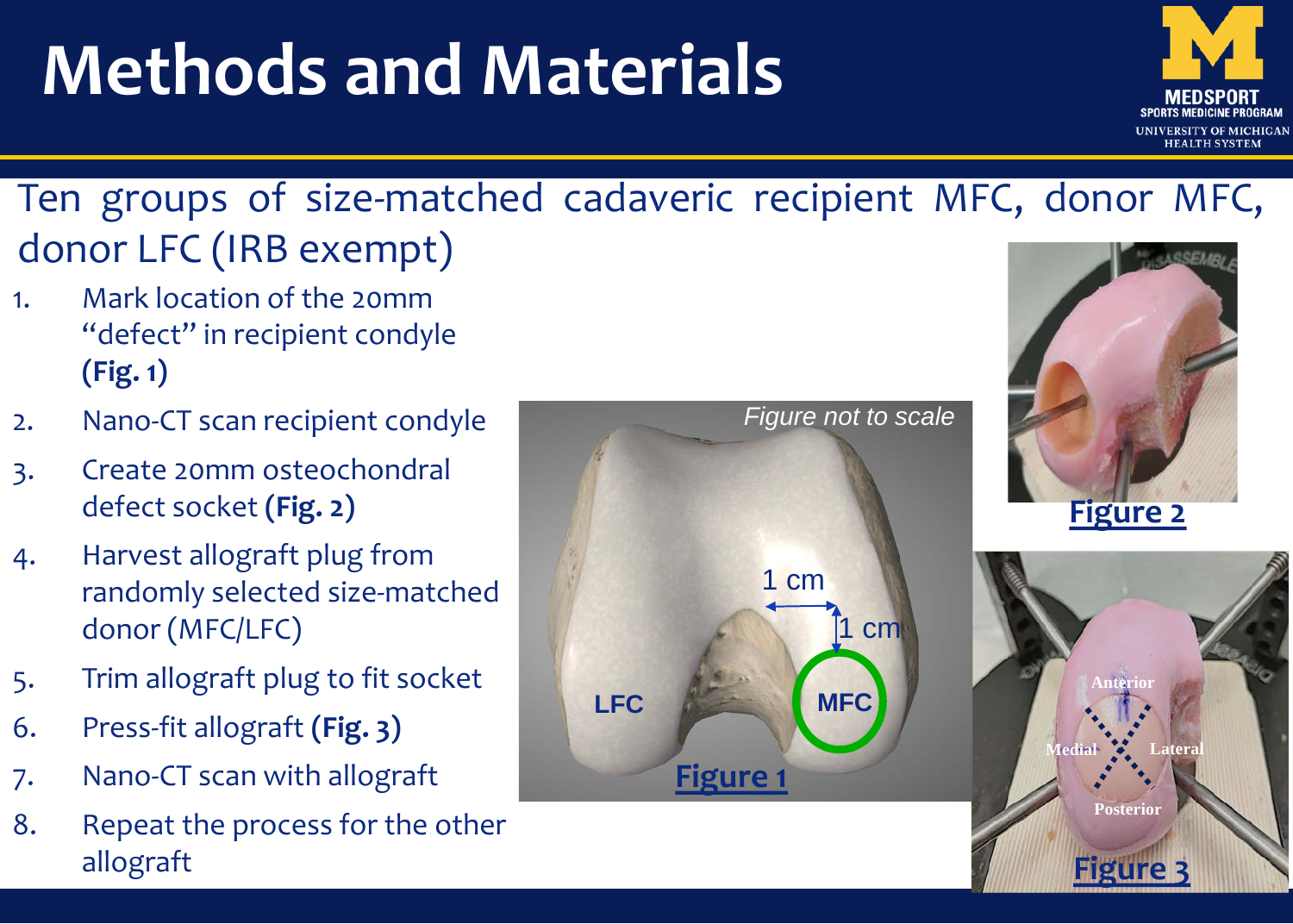# **Methods and Materials**



**Figure 3**

### Ten groups of size-matched cadaveric recipient MFC, donor MFC, donor LFC (IRB exempt)

- 1. Mark location of the 20mm "defect" in recipient condyle **(Fig. 1)**
- 2. Nano-CT scan recipient condyle
- 3. Create 20mm osteochondral defect socket **(Fig. 2)**
- 4. Harvest allograft plug from randomly selected size-matched donor (MFC/LFC)
- 5. Trim allograft plug to fit socket
- 6. Press-fit allograft **(Fig. 3)**
- 7. Nano-CT scan with allograft
- 8. Repeat the process for the other allograft

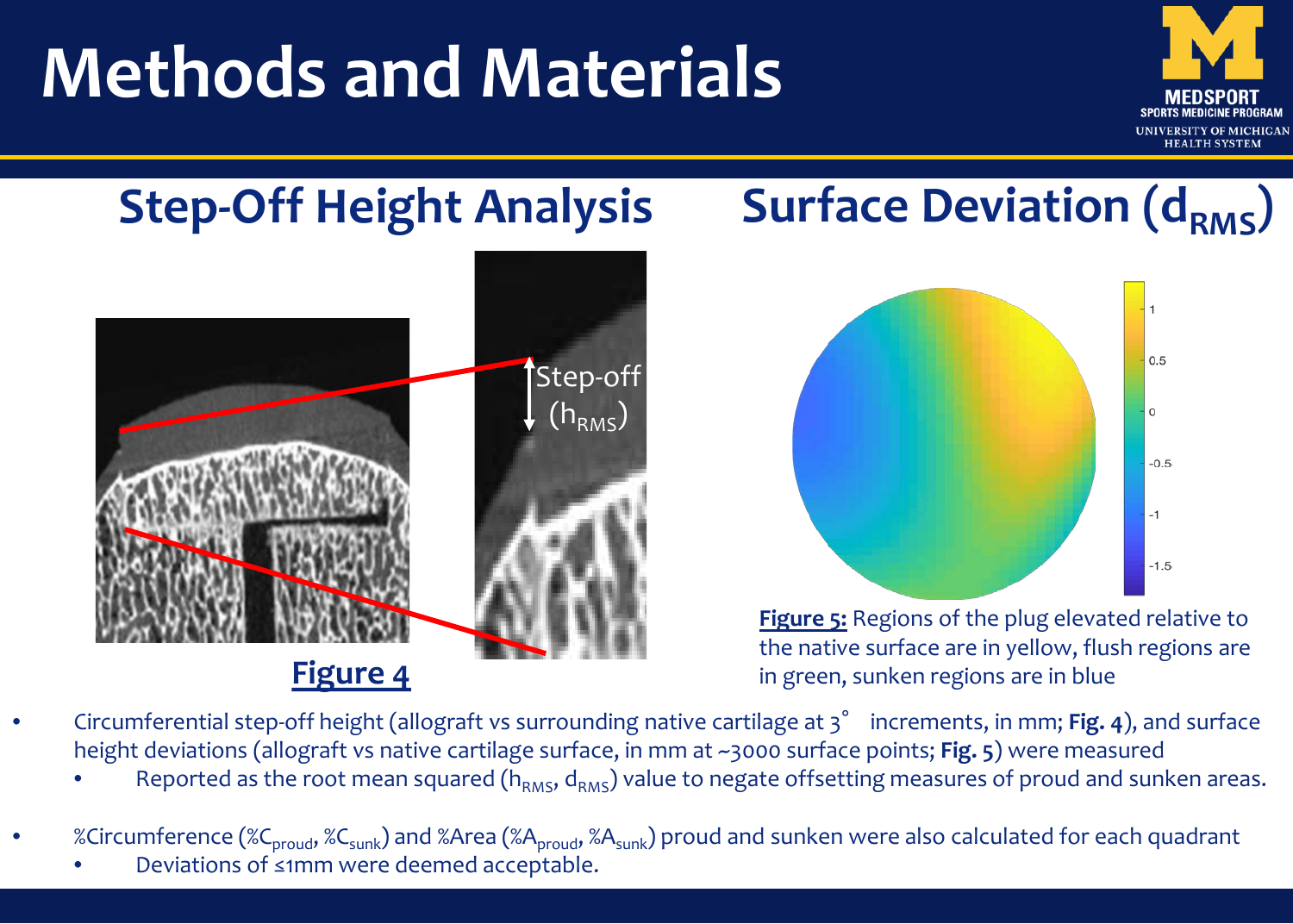# **Methods and Materials**



### **Step-Off Height Analysis**



#### **Figure 4**

### **Surface Deviation (dRMS)**



**Figure 5:** Regions of the plug elevated relative to the native surface are in yellow, flush regions are in green, sunken regions are in blue

- Circumferential step-off height (allograft vs surrounding native cartilage at 3° increments, in mm; **Fig. 4**), and surface height deviations (allograft vs native cartilage surface, in mm at ~3000 surface points; **Fig. 5**) were measured
	- Reported as the root mean squared ( $h_{RMS}$ ,  $d_{RMS}$ ) value to negate offsetting measures of proud and sunken areas.
- %Circumference (%C<sub>proud</sub>, %C<sub>sunk</sub>) and %Area (%A<sub>proud</sub>, %A<sub>sunk</sub>) proud and sunken were also calculated for each quadrant
	- Deviations of ≤1mm were deemed acceptable.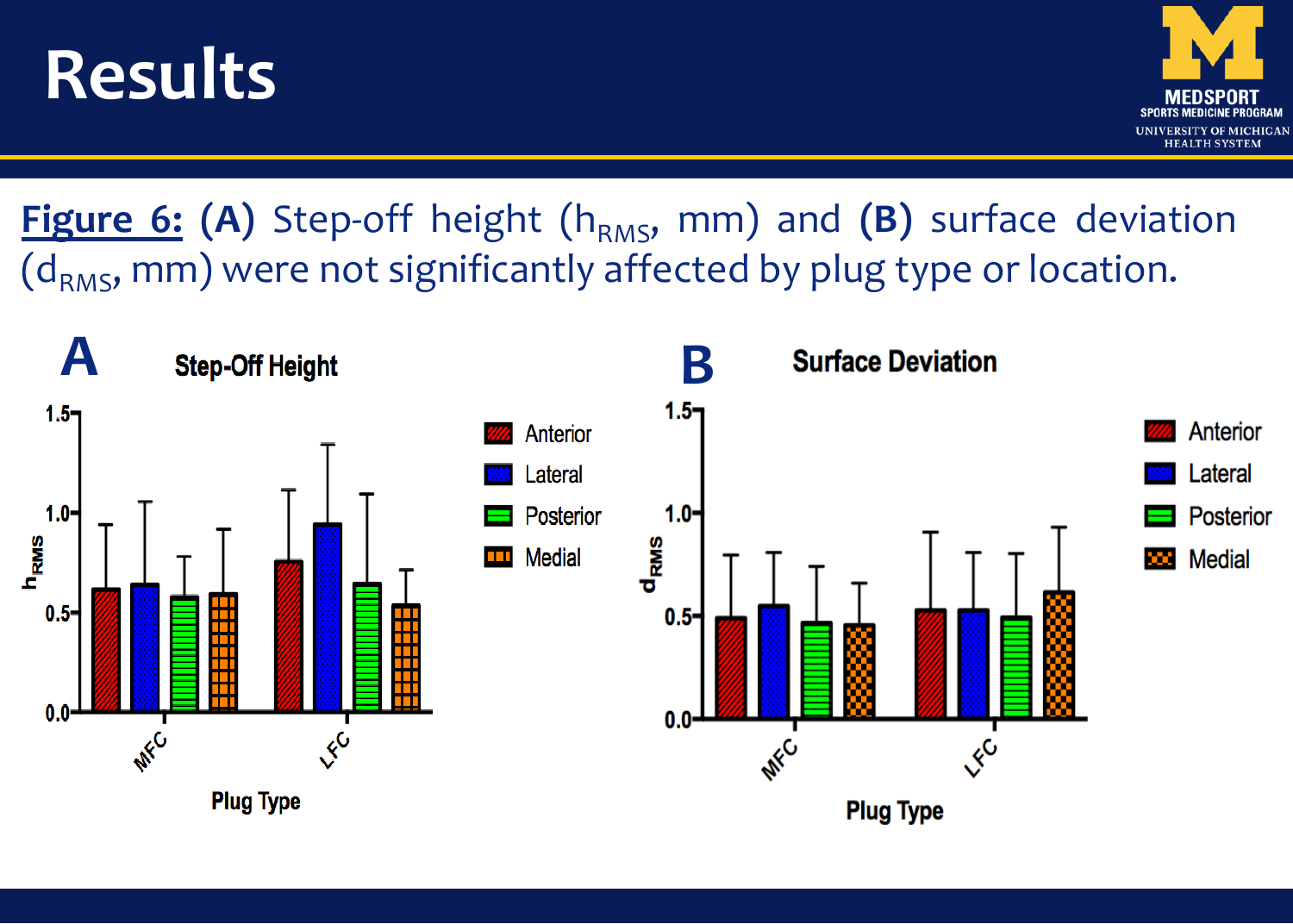## **Results**



**Figure 6: (A)** Step-off height (h<sub>RMS</sub>, mm) and (B) surface deviation  $(d<sub>RMS</sub>, mm)$  were not significantly affected by plug type or location.

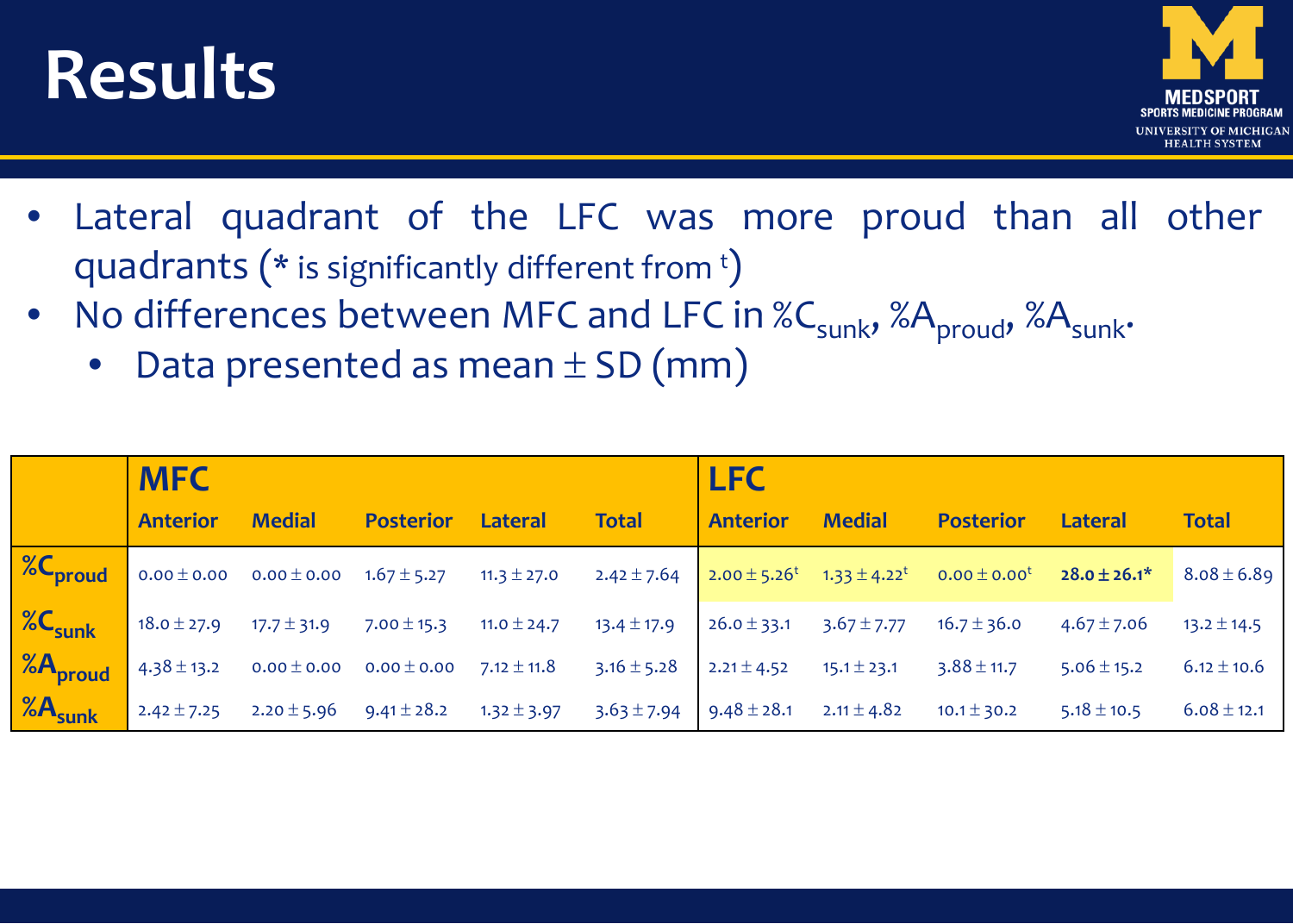## **Results**



- Lateral quadrant of the LFC was more proud than all other quadrants ( $*$  is significantly different from  $t$ )
- No differences between MFC and LFC in %C<sub>sunk</sub>, %A<sub>proud</sub>, %A<sub>sunk</sub>.
	- Data presented as mean  $\pm$  SD (mm)

| <b>MFC</b>      |               |                  |         |                                                                                                                                                             | <b>LFC</b>      |               |                                                                                                                                                                                                                                              |                                                                                                                                                                       |                 |
|-----------------|---------------|------------------|---------|-------------------------------------------------------------------------------------------------------------------------------------------------------------|-----------------|---------------|----------------------------------------------------------------------------------------------------------------------------------------------------------------------------------------------------------------------------------------------|-----------------------------------------------------------------------------------------------------------------------------------------------------------------------|-----------------|
| <b>Anterior</b> | <b>Medial</b> | <b>Posterior</b> | Lateral | <b>Total</b>                                                                                                                                                | <b>Anterior</b> | <b>Medial</b> | <b>Posterior</b>                                                                                                                                                                                                                             | Lateral                                                                                                                                                               | <b>Total</b>    |
|                 |               |                  |         |                                                                                                                                                             |                 |               |                                                                                                                                                                                                                                              | <b>1.67 ± 5.20</b> 2.42 ± 7.64 2.00 ± 3.20 2.42 ± 7.64 2.00 ± 5.26 <sup>t</sup> 3.3 ± 4.22 <sup>t</sup> 0.00 ± 0.00 <sup>t</sup> 28.0 ± 26.1 <sup>*</sup> 8.08 ± 6.89 |                 |
|                 |               |                  |         |                                                                                                                                                             |                 |               | <b>18.</b> 0 ± 27.9 17.7 ± 31.9 7.00 ± 15.3 11.0 ± 24.7 13.4 ± 17.9 26.0 ± 33.1 3.67 ± 7.77 16.7 ± 36.0 4.67 ± 7.06                                                                                                                          |                                                                                                                                                                       | $13.2 \pm 14.5$ |
|                 |               |                  |         | <b>18 A proud</b> $4.38 \pm 13.2$ <b>0.00</b> $\pm$ <b>0.00 0.00</b> $\pm$ <b>0.00 7.12</b> $\pm$ <b>11.8 3.16</b> $\pm$ <b>5.28 2.21</b> $\pm$ <b>4.52</b> |                 |               | $15.1 \pm 23.1$ $3.88 \pm 11.7$                                                                                                                                                                                                              | $5.06 \pm 15.2$                                                                                                                                                       | $6.12 \pm 10.6$ |
|                 |               |                  |         |                                                                                                                                                             |                 |               | <b>1.3</b> 2 $\frac{1}{2}$ <b>1.48</b> $\frac{1}{2}$ <b>2.42</b> $\pm$ 7.25 <b>2.20</b> $\pm$ 5.96 <b>9.41</b> $\pm$ 28.2 <b>1.32</b> $\pm$ 3.97 <b>3.63</b> $\pm$ 7.94 <b>9.48</b> $\pm$ 28.1 <b>2.11</b> $\pm$ 4.82 <b>10.1</b> $\pm$ 30.2 | $5.18 \pm 10.5$                                                                                                                                                       | $6.08 \pm 12.1$ |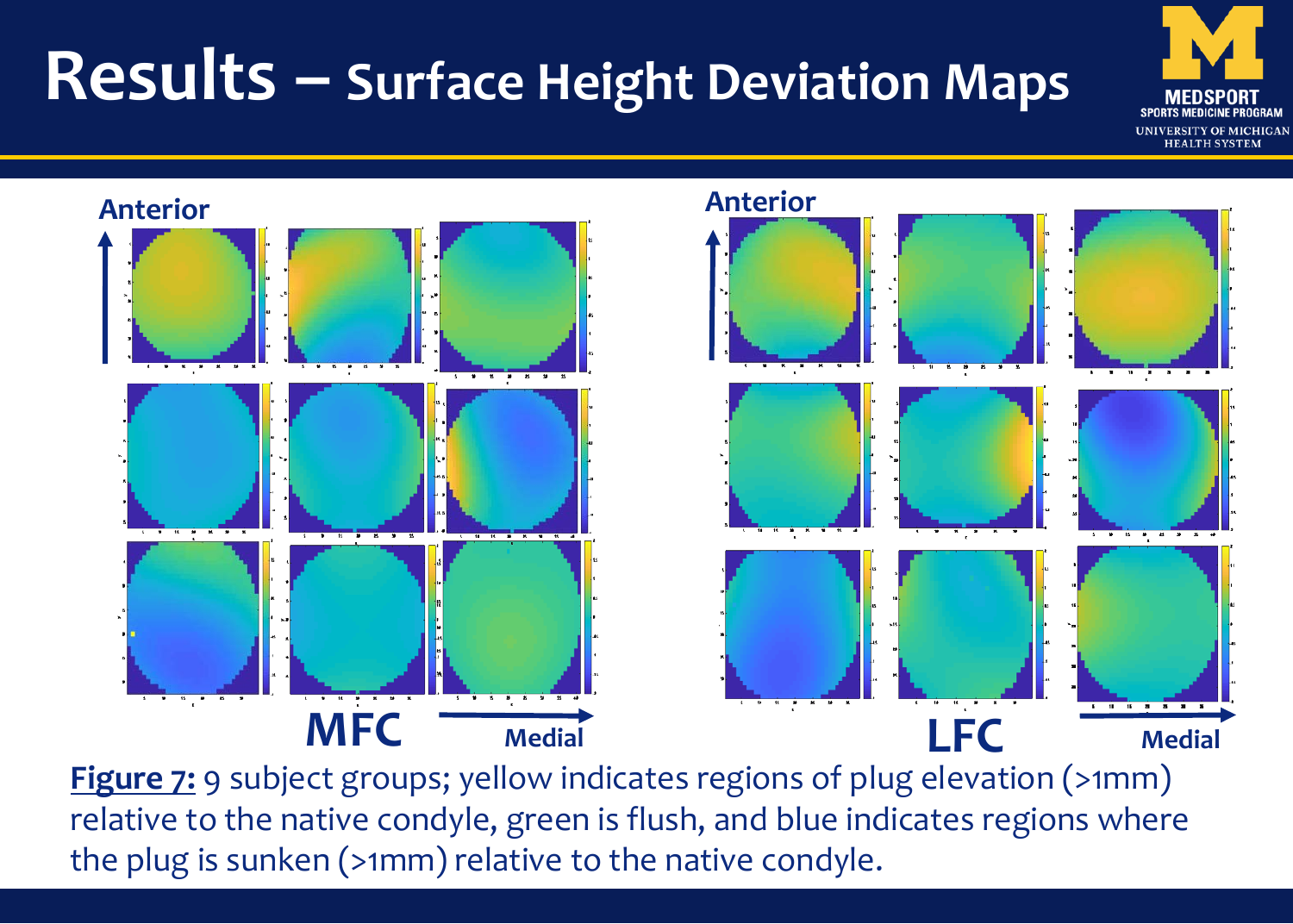## **Results – Surface Height Deviation Maps**







**Figure 7:** 9 subject groups; yellow indicates regions of plug elevation (>1mm) relative to the native condyle, green is flush, and blue indicates regions where the plug is sunken (>1mm) relative to the native condyle.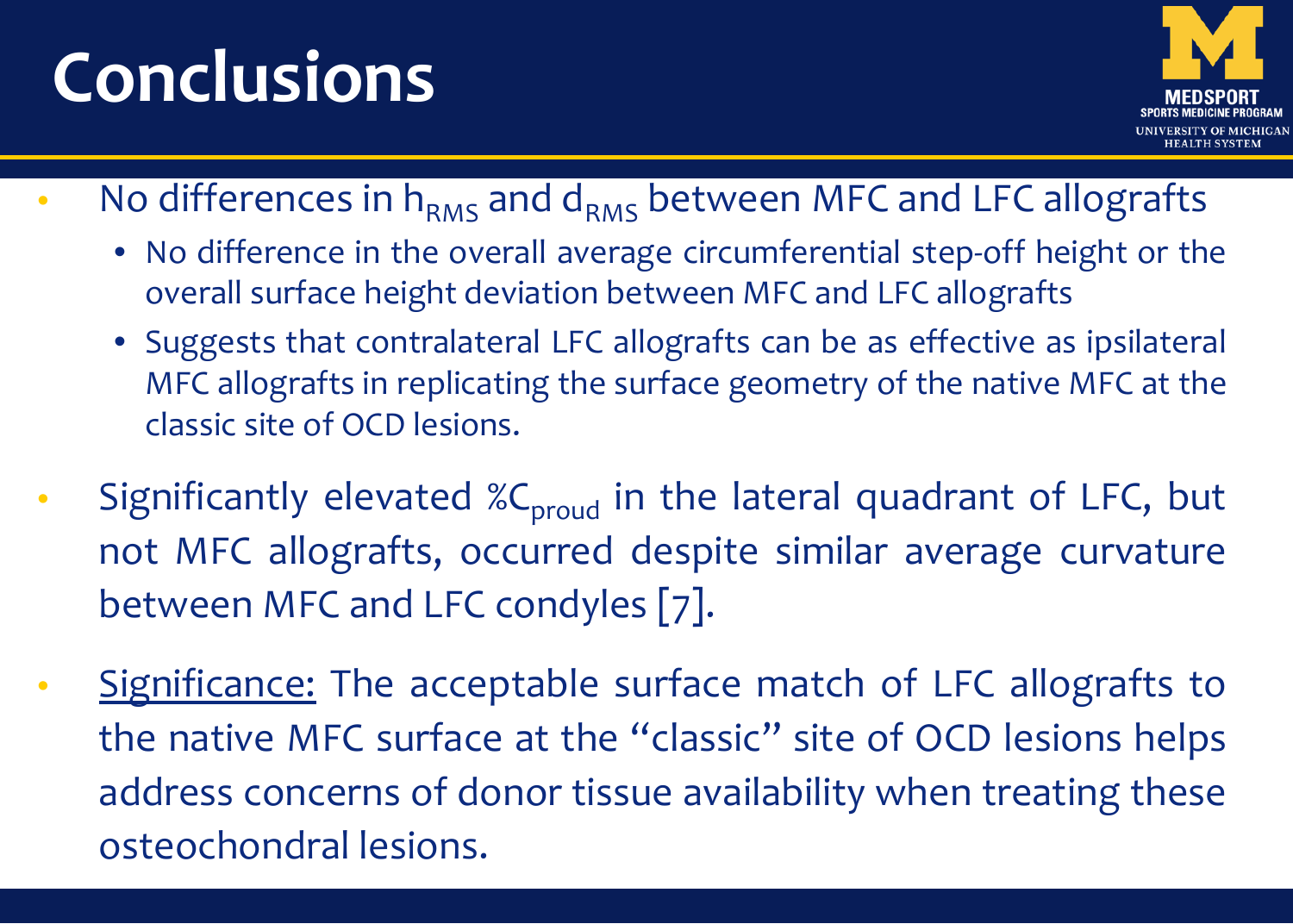# **Conclusions**



- No differences in  $h_{RMS}$  and  $d_{RMS}$  between MFC and LFC allografts
	- No difference in the overall average circumferential step-off height or the overall surface height deviation between MFC and LFC allografts
	- Suggests that contralateral LFC allografts can be as effective as ipsilateral MFC allografts in replicating the surface geometry of the native MFC at the classic site of OCD lesions.
- Significantly elevated  $\mathcal{C}_{\text{prod}}$  in the lateral quadrant of LFC, but not MFC allografts, occurred despite similar average curvature between MFC and LFC condyles [7].
- Significance: The acceptable surface match of LFC allografts to the native MFC surface at the "classic" site of OCD lesions helps address concerns of donor tissue availability when treating these osteochondral lesions.